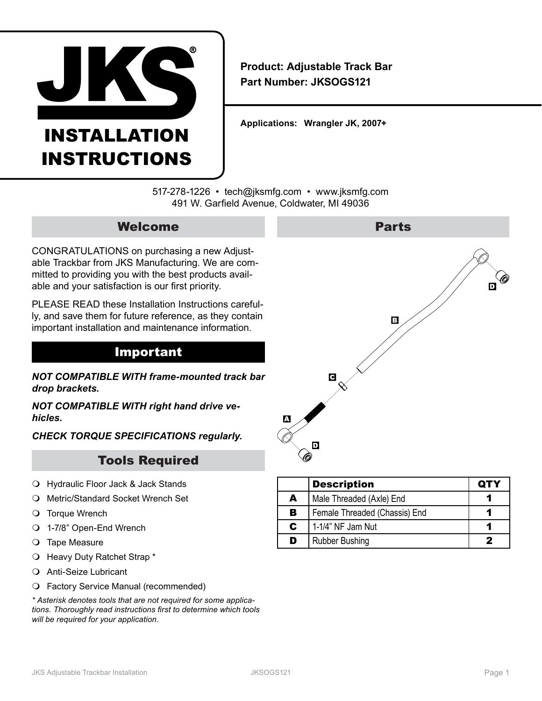

# INSTALLATION INSTRUCTIONS

**Product: Adjustable Track Bar Part Number: JKSOGS121**

**Applications: Wrangler JK, 2007+** 

517-278-1226 • tech@jksmfg.com • www.jksmfg.com 491 W. Garfield Avenue, Coldwater, MI 49036

## Welcome

CONGRATULATIONS on purchasing a new Adjustable Trackbar from JKS Manufacturing. We are committed to providing you with the best products available and your satisfaction is our first priority.

PLEASE READ these Installation Instructions carefully, and save them for future reference, as they contain important installation and maintenance information.

## Important

*NOT COMPATIBLE WITH frame-mounted track bar drop brackets.*

*NOT COMPATIBLE WITH right hand drive vehicles.*

*CHECK TORQUE SPECIFICATIONS regularly.*

# Tools Required

- Hydraulic Floor Jack & Jack Stands
- Metric/Standard Socket Wrench Set
- O Torque Wrench
- 1-7/8" Open-End Wrench
- O Tape Measure
- O Heavy Duty Ratchet Strap \*
- Anti-Seize Lubricant
- Factory Service Manual (recommended)

*\* Asterisk denotes tools that are not required for some applications. Thoroughly read instructions first to determine which tools will be required for your application.*



|    | <b>Description</b>            | <b>QTY</b> |
|----|-------------------------------|------------|
| A  | Male Threaded (Axle) End      |            |
| В  | Female Threaded (Chassis) End |            |
| C. | 1-1/4" NF Jam Nut             |            |
| D  | <b>Rubber Bushing</b>         |            |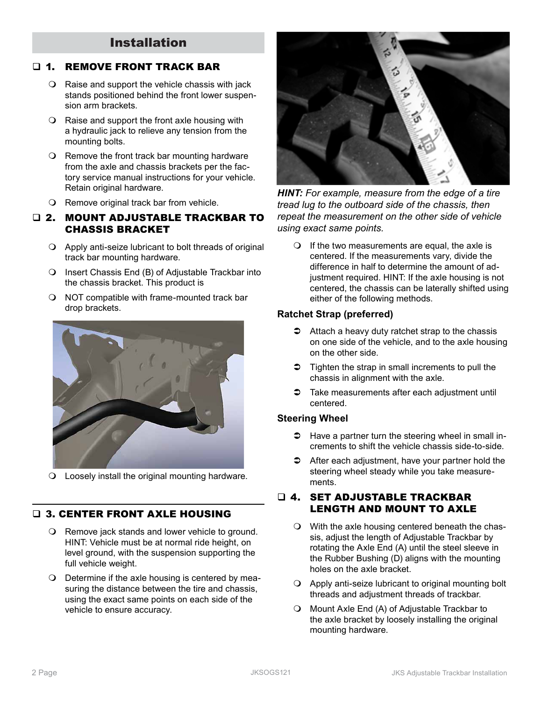# Installation

## **1. REMOVE FRONT TRACK BAR**

- $\Omega$  Raise and support the vehicle chassis with jack stands positioned behind the front lower suspension arm brackets.
- $\bigcirc$  Raise and support the front axle housing with a hydraulic jack to relieve any tension from the mounting bolts.
- $\Omega$  Remove the front track bar mounting hardware from the axle and chassis brackets per the factory service manual instructions for your vehicle. Retain original hardware.
- O Remove original track bar from vehicle.
- 2. MOUNT ADJUSTABLE TRACKBAR TO CHASSIS BRACKET
	- $\bigcirc$  Apply anti-seize lubricant to bolt threads of original track bar mounting hardware.
	- O Insert Chassis End (B) of Adjustable Trackbar into the chassis bracket. This product is
	- $\bigcirc$  NOT compatible with frame-mounted track bar drop brackets.



Loosely install the original mounting hardware.

#### **Q 3. CENTER FRONT AXLE HOUSING**

- O Remove jack stands and lower vehicle to ground. HINT: Vehicle must be at normal ride height, on level ground, with the suspension supporting the full vehicle weight.
- O Determine if the axle housing is centered by measuring the distance between the tire and chassis, using the exact same points on each side of the vehicle to ensure accuracy.



*HINT: For example, measure from the edge of a tire tread lug to the outboard side of the chassis, then repeat the measurement on the other side of vehicle using exact same points.*

 $\bigcirc$  If the two measurements are equal, the axle is centered. If the measurements vary, divide the difference in half to determine the amount of adjustment required. HINT: If the axle housing is not centered, the chassis can be laterally shifted using either of the following methods.

#### **Ratchet Strap (preferred)**

- $\Rightarrow$  Attach a heavy duty ratchet strap to the chassis on one side of the vehicle, and to the axle housing on the other side.
- $\supset$  Tighten the strap in small increments to pull the chassis in alignment with the axle.
- $\supset$  Take measurements after each adjustment until centered.

#### **Steering Wheel**

- $\supset$  Have a partner turn the steering wheel in small increments to shift the vehicle chassis side-to-side.
- $\triangle$  After each adjustment, have your partner hold the steering wheel steady while you take measurements.

#### 4. SET ADJUSTABLE TRACKBAR LENGTH AND MOUNT TO AXLE

- With the axle housing centered beneath the chassis, adjust the length of Adjustable Trackbar by rotating the Axle End (A) until the steel sleeve in the Rubber Bushing (D) aligns with the mounting holes on the axle bracket.
- $\bigcirc$  Apply anti-seize lubricant to original mounting bolt threads and adjustment threads of trackbar.
- O Mount Axle End (A) of Adjustable Trackbar to the axle bracket by loosely installing the original mounting hardware.